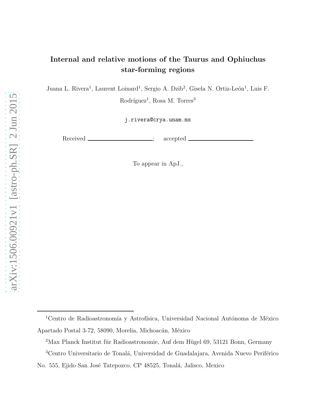# Internal and relative motions of the Taurus and Ophiuchus star-forming regions

Juana L. Rivera<sup>1</sup>, Laurent Loinard<sup>1</sup>, Sergio A. Dzib<sup>2</sup>, Gisela N. Ortiz-León<sup>1</sup>, Luis F.

Rodríguez<sup>1</sup>, Rosa M. Torres<sup>3</sup>

j.rivera@crya.unam.mx

Received \_\_\_\_\_\_\_\_\_\_\_\_\_\_\_\_; accepted \_

To appear in ApJ.,

 $1$ Centro de Radioastronomía y Astrofísica, Universidad Nacional Autónoma de México Apartado Postal 3-72, 58090, Morelia, Michoacán, México

 $2$ Max Planck Institut für Radioastronomie, Auf dem Hügel 69, 53121 Bonn, Germany

 ${}^{3}\mathrm{Centr}$ Universitario de Tonalá, Universidad de Guadalajara, Avenida Nuevo Periférico

No. 555, Ejido San José Tatepozco, CP 48525, Tonalá, Jalisco, Mexico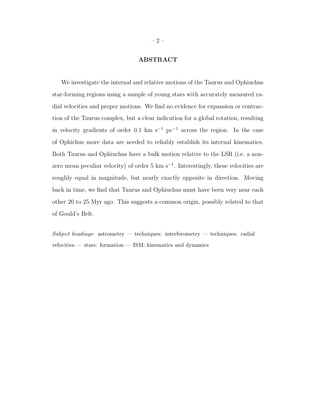# ABSTRACT

We investigate the internal and relative motions of the Taurus and Ophiuchus star-forming regions using a sample of young stars with accurately measured radial velocities and proper motions. We find no evidence for expansion or contraction of the Taurus complex, but a clear indication for a global rotation, resulting in velocity gradients of order 0.1 km s<sup>-1</sup> pc<sup>-1</sup> across the region. In the case of Ophichus more data are needed to reliably establish its internal kinematics. Both Taurus and Ophiuchus have a bulk motion relative to the LSR (i.e. a nonzero mean peculiar velocity) of order 5 km s<sup>-1</sup>. Interestingly, these velocities are roughly equal in magnitude, but nearly exactly opposite in direction. Moving back in time, we find that Taurus and Ophiuchus must have been very near each other 20 to 25 Myr ago. This suggests a common origin, possibly related to that of Gould's Belt.

 $Subject$  headings: astrometry — techniques: interferometry — techniques: radial velocities — stars: formation — ISM: kinematics and dynamics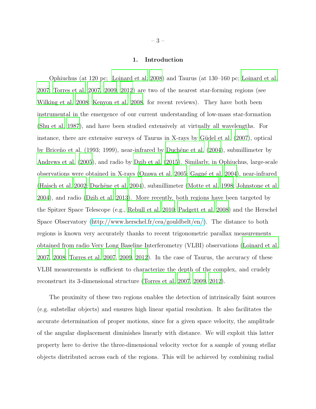## 1. Introduction

Ophiuchus (at 120 pc; [Loinard et al. 2008](#page-21-0)) and Taurus (at 130–160 pc; [Loinard et al.](#page-21-1) [2007;](#page-21-1) [Torres et al. 2007](#page-23-0), [2009,](#page-23-1) [2012](#page-23-2)) are two of the nearest star-forming regions (see [Wilking et al. 2008;](#page-23-3) [Kenyon et al. 2008,](#page-21-2) for recent reviews). They have both been instrumental in the emergence of our current understanding of low-mass star-formation [\(Shu et al. 1987\)](#page-23-4), and have been studied extensively at virtually all wavelengths. For instance, there are extensive surveys of Taurus in X-rays by Güdel et al. (2007), optical by Briceño et al. (1993; 1999), near-infrared by Duchêne et al. [\(2004](#page-20-0)), submillimeter by [Andrews et al. \(2005\)](#page-20-1), and radio by [Dzib et al. \(2015](#page-20-2)). Similarly, in Ophiuchus, large-scale observations were obtained in X-rays [\(Ozawa et al. 2005;](#page-22-0) Gagné et al. 2004), near-infrared [\(Haisch et al. 2002](#page-21-5); Duchêne et al. 2004), submillimeter [\(Motte et al. 1998;](#page-22-1) [Johnstone et al.](#page-21-6) [2004\)](#page-21-6), and radio [\(Dzib et al. 2013](#page-21-7)). More recently, both regions have been targeted by the Spitzer Space Telescope (e.g., [Rebull et al. 2010](#page-22-2); [Padgett et al.](#page-22-3) [2008\)](#page-22-3) and the Herschel Space Observatory [\(http://www.herschel.fr/cea/gouldbelt/en/\)](http://www.herschel.fr/cea/gouldbelt/en/). The distance to both regions is known very accurately thanks to recent trigonometric parallax measurements obtained from radio Very Long Baseline Interferometry (VLBI) observations [\(Loinard et al.](#page-21-1) [2007,](#page-21-1) [2008;](#page-21-0) [Torres et al. 2007](#page-23-0), [2009](#page-23-1), [2012](#page-23-2)). In the case of Taurus, the accuracy of these VLBI measurements is sufficient to characterize the depth of the complex, and crudely reconstruct its 3-dimensional structure [\(Torres et al. 2007,](#page-23-0) [2009,](#page-23-1) [2012\)](#page-23-2).

The proximity of these two regions enables the detection of intrinsically faint sources (e.g. substellar objects) and ensures high linear spatial resolution. It also facilitates the accurate determination of proper motions, since for a given space velocity, the amplitude of the angular displacement diminishes linearly with distance. We will exploit this latter property here to derive the three-dimensional velocity vector for a sample of young stellar objects distributed across each of the regions. This will be achieved by combining radial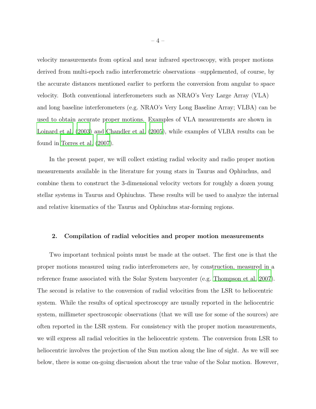velocity measurements from optical and near infrared spectroscopy, with proper motions derived from multi-epoch radio interferometric observations –supplemented, of course, by the accurate distances mentioned earlier to perform the conversion from angular to space velocity. Both conventional interferometers such as NRAO's Very Large Array (VLA) and long baseline interferometers (e.g. NRAO's Very Long Baseline Array; VLBA) can be used to obtain accurate proper motions. Examples of VLA measurements are shown in [Loinard et al. \(2003\)](#page-22-4) and [Chandler et al. \(2005\)](#page-20-3), while examples of VLBA results can be found in [Torres et al. \(2007\)](#page-23-0).

In the present paper, we will collect existing radial velocity and radio proper motion measurements available in the literature for young stars in Taurus and Ophiuchus, and combine them to construct the 3-dimensional velocity vectors for roughly a dozen young stellar systems in Taurus and Ophiuchus. These results will be used to analyze the internal and relative kinematics of the Taurus and Ophiuchus star-forming regions.

## 2. Compilation of radial velocities and proper motion measurements

Two important technical points must be made at the outset. The first one is that the proper motions measured using radio interferometers are, by construction, measured in a reference frame associated with the Solar System barycenter (e.g. [Thompson et al. 2007](#page-23-5)). The second is relative to the conversion of radial velocities from the LSR to heliocentric system. While the results of optical spectroscopy are usually reported in the heliocentric system, millimeter spectroscopic observations (that we will use for some of the sources) are often reported in the LSR system. For consistency with the proper motion measurements, we will express all radial velocities in the heliocentric system. The conversion from LSR to heliocentric involves the projection of the Sun motion along the line of sight. As we will see below, there is some on-going discussion about the true value of the Solar motion. However,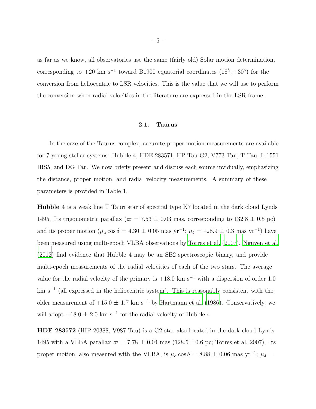as far as we know, all observatories use the same (fairly old) Solar motion determination, corresponding to  $+20 \text{ km s}^{-1}$  toward B1900 equatorial coordinates  $(18^h; +30^{\circ})$  for the conversion from heliocentric to LSR velocities. This is the value that we will use to perform the conversion when radial velocities in the literature are expressed in the LSR frame.

#### 2.1. Taurus

In the case of the Taurus complex, accurate proper motion measurements are available for 7 young stellar systems: Hubble 4, HDE 283571, HP Tau G2, V773 Tau, T Tau, L 1551 IRS5, and DG Tau. We now briefly present and discuss each source invidually, emphasizing the distance, proper motion, and radial velocity measurements. A summary of these parameters is provided in Table 1.

Hubble 4 is a weak line T Tauri star of spectral type K7 located in the dark cloud Lynds 1495. Its trigonometric parallax ( $\varpi = 7.53 \pm 0.03$  mas, corresponding to 132.8  $\pm$  0.5 pc) and its proper motion  $(\mu_{\alpha}\cos\delta = 4.30 \pm 0.05 \text{ mas yr}^{-1}; \mu_{\delta} = -28.9 \pm 0.3 \text{ mas yr}^{-1})$  have been measured using multi-epoch VLBA observations by [Torres et al. \(2007\)](#page-23-0). [Nguyen et al.](#page-22-5) [\(2012\)](#page-22-5) find evidence that Hubble 4 may be an SB2 spectroscopic binary, and provide multi-epoch measurements of the radial velocities of each of the two stars. The average value for the radial velocity of the primary is  $+18.0 \text{ km s}^{-1}$  with a dispersion of order 1.0 km s<sup>−</sup><sup>1</sup> (all expressed in the heliocentric system). This is reasonably consistent with the older measurement of  $+15.0 \pm 1.7$  km s<sup>-1</sup> by [Hartmann et al. \(1986\)](#page-21-8). Conservatively, we will adopt  $+18.0 \pm 2.0$  km s<sup>-1</sup> for the radial velocity of Hubble 4.

HDE 283572 (HIP 20388, V987 Tau) is a G2 star also located in the dark cloud Lynds 1495 with a VLBA parallax  $\varpi = 7.78 \pm 0.04$  mas (128.5  $\pm$ 0.6 pc; Torres et al. 2007). Its proper motion, also measured with the VLBA, is  $\mu_{\alpha}$  cos  $\delta = 8.88 \pm 0.06$  mas yr<sup>-1</sup>;  $\mu_{\delta} =$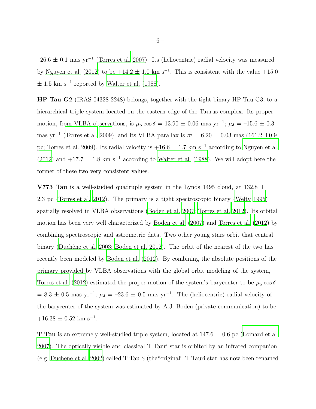$-26.6 \pm 0.1$  mas yr<sup>-1</sup> [\(Torres et al. 2007\)](#page-23-0). Its (heliocentric) radial velocity was measured by [Nguyen et al. \(2012\)](#page-22-5) to be  $+14.2 \pm 1.0$  km s<sup>-1</sup>. This is consistent with the value  $+15.0$  $\pm$  1.5 km s<sup>-1</sup> reported by [Walter et al. \(1988](#page-23-6)).

HP Tau G2 (IRAS 04328-2248) belongs, together with the tight binary HP Tau G3, to a hierarchical triple system located on the eastern edge of the Taurus complex. Its proper motion, from VLBA observations, is  $\mu_{\alpha}$  cos  $\delta = 13.90 \pm 0.06$  mas yr<sup>-1</sup>;  $\mu_{\delta} = -15.6 \pm 0.3$ mas yr<sup>-1</sup> [\(Torres et al. 2009\)](#page-23-1), and its VLBA parallax is  $\varpi = 6.20 \pm 0.03$  mas (161.2 ±0.9) pc; Torres et al. 2009). Its radial velocity is  $+16.6 \pm 1.7$  km s<sup>-1</sup> according to [Nguyen et al.](#page-22-5) [\(2012\)](#page-22-5) and  $+17.7 \pm 1.8$  km s<sup>-1</sup> according to [Walter et al. \(1988](#page-23-6)). We will adopt here the former of these two very consistent values.

**V773 Tau** is a well-studied quadruple system in the Lynds 1495 cloud, at 132.8  $\pm$ 2.3 pc [\(Torres et al. 2012\)](#page-23-2). The primary is a tight spectroscopic binary [\(Welty 1995\)](#page-23-7) spatially resolved in VLBA observations [\(Boden et al. 2007;](#page-20-4) [Torres et al. 2012\)](#page-23-2). Its orbital motion has been very well characterized by [Boden et al. \(2007](#page-20-4)) and [Torres et al. \(2012\)](#page-23-2) by combining spectroscopic and astrometric data. Two other young stars orbit that central binary (Duchêne et al. 2003; [Boden et al. 2012\)](#page-20-6). The orbit of the nearest of the two has recently been modeled by [Boden et al. \(2012\)](#page-20-6). By combining the absolute positions of the primary provided by VLBA observations with the global orbit modeling of the system, [Torres et al. \(2012](#page-23-2)) estimated the proper motion of the system's barycenter to be  $\mu_{\alpha}$  cos  $\delta$  $= 8.3 \pm 0.5$  mas yr<sup>-1</sup>;  $\mu_{\delta} = -23.6 \pm 0.5$  mas yr<sup>-1</sup>. The (heliocentric) radial velocity of the barycenter of the system was estimated by A.J. Boden (private communication) to be  $+16.38 \pm 0.52$  km s<sup>-1</sup>.

**T** Tau is an extremely well-studied triple system, located at  $147.6 \pm 0.6$  pc [\(Loinard et al.](#page-21-1) [2007\)](#page-21-1). The optically visible and classical T Tauri star is orbited by an infrared companion (e.g. Duchêne et al. 2002) called T Tau S (the "original" T Tauri star has now been renamed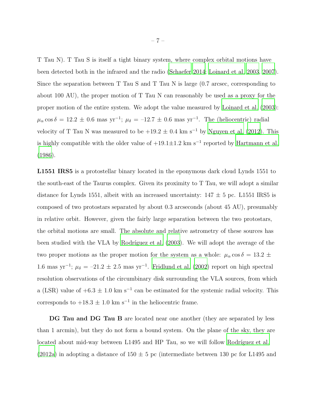T Tau N). T Tau S is itself a tight binary system, where complex orbital motions have been detected both in the infrared and the radio [\(Schaefer 2014;](#page-23-8) [Loinard et al. 2003,](#page-22-4) [2007](#page-21-1)). Since the separation between T Tau S and T Tau N is large (0.7 arcsec, corresponding to about 100 AU), the proper motion of T Tau N can reasonably be used as a proxy for the proper motion of the entire system. We adopt the value measured by [Loinard et al. \(2003](#page-22-4)):  $\mu_{\alpha}\cos\delta = 12.2 \pm 0.6$  mas yr<sup>-1</sup>;  $\mu_{\delta} = -12.7 \pm 0.6$  mas yr<sup>-1</sup>. The (heliocentric) radial velocity of T Tau N was measured to be  $+19.2 \pm 0.4$  km s<sup>-1</sup> by [Nguyen et al. \(2012](#page-22-5)). This is highly compatible with the older value of  $+19.1 \pm 1.2$  km s<sup>-1</sup> reported by [Hartmann et al.](#page-21-8) [\(1986\)](#page-21-8).

L1551 IRS5 is a protostellar binary located in the eponymous dark cloud Lynds 1551 to the south-east of the Taurus complex. Given its proximity to T Tau, we will adopt a similar distance for Lynds 1551, albeit with an increased uncertainty:  $147 \pm 5$  pc. L1551 IRS5 is composed of two protostars separated by about 0.3 arcseconds (about 45 AU), presumably in relative orbit. However, given the fairly large separation between the two protostars, the orbital motions are small. The absolute and relative astrometry of these sources has been studied with the VLA by Rodríguez et al. (2003). We will adopt the average of the two proper motions as the proper motion for the system as a whole:  $\mu_{\alpha}$  cos  $\delta = 13.2 \pm$ 1.6 mas yr<sup>-1</sup>;  $\mu_{\delta} = -21.2 \pm 2.5$  mas yr<sup>-1</sup>. [Fridlund et al. \(2002\)](#page-21-9) report on high spectral resolution observations of the circumbinary disk surrounding the VLA sources, from which a (LSR) value of  $+6.3 \pm 1.0$  km s<sup>-1</sup> can be estimated for the systemic radial velocity. This corresponds to  $+18.3 \pm 1.0$  km s<sup>-1</sup> in the heliocentric frame.

DG Tau and DG Tau B are located near one another (they are separated by less than 1 arcmin), but they do not form a bound system. On the plane of the sky, they are located about mid-way between L1495 and HP Tau, so we will follow Rodríguez et al. [\(2012a\)](#page-22-6) in adopting a distance of  $150 \pm 5$  pc (intermediate between 130 pc for L1495 and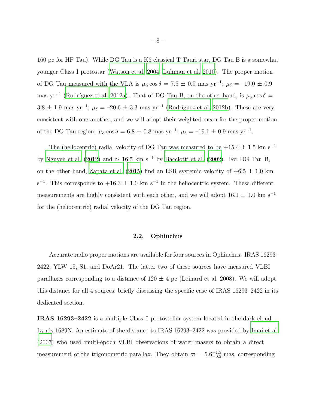160 pc for HP Tau). While DG Tau is a K6 classical T Tauri star, DG Tau B is a somewhat younger Class I protostar [\(Watson et al. 2004;](#page-23-10) [Luhman et al. 2010](#page-22-7)). The proper motion of DG Tau measured with the VLA is  $\mu_{\alpha}$  cos  $\delta = 7.5 \pm 0.9$  mas yr<sup>-1</sup>;  $\mu_{\delta} = -19.0 \pm 0.9$ mas yr<sup>-1</sup> (Rodríguez et al. 2012a). That of DG Tau B, on the other hand, is  $\mu_{\alpha} \cos \delta =$  $3.8 \pm 1.9$  mas yr<sup>-1</sup>;  $\mu_{\delta} = -20.6 \pm 3.3$  mas yr<sup>-1</sup> (Rodríguez et al. 2012b). These are very consistent with one another, and we will adopt their weighted mean for the proper motion of the DG Tau region:  $\mu_{\alpha} \cos \delta = 6.8 \pm 0.8$  mas yr<sup>-1</sup>;  $\mu_{\delta} = -19.1 \pm 0.9$  mas yr<sup>-1</sup>.

The (heliocentric) radial velocity of DG Tau was measured to be +15.4 ± 1.5 km  $\rm s^{-1}$ by [Nguyen et al. \(2012](#page-22-5)) and  $\simeq 16.5$  km s<sup>-1</sup> by [Bacciotti et al. \(2002\)](#page-20-8). For DG Tau B, on the other hand, [Zapata et al. \(2015](#page-23-11)) find an LSR systemic velocity of  $+6.5 \pm 1.0$  km s<sup>-1</sup>. This corresponds to  $+16.3 \pm 1.0$  km s<sup>-1</sup> in the heliocentric system. These different measurements are highly consistent with each other, and we will adopt  $16.1 \pm 1.0$  km s<sup>−1</sup> for the (heliocentric) radial velocity of the DG Tau region.

# 2.2. Ophiuchus

Accurate radio proper motions are available for four sources in Ophiuchus: IRAS 16293– 2422, YLW 15, S1, and DoAr21. The latter two of these sources have measured VLBI parallaxes corresponding to a distance of  $120 \pm 4$  pc (Loinard et al. 2008). We will adopt this distance for all 4 sources, briefly discussing the specific case of IRAS 16293–2422 in its dedicated section.

IRAS 16293–2422 is a multiple Class 0 protostellar system located in the dark cloud Lynds 1689N. An estimate of the distance to IRAS 16293–2422 was provided by [Imai et al.](#page-21-10) [\(2007\)](#page-21-10) who used multi-epoch VLBI observations of water masers to obtain a direct measurement of the trigonometric parallax. They obtain  $\varpi = 5.6^{+1.5}_{-0.5}$  mas, corresponding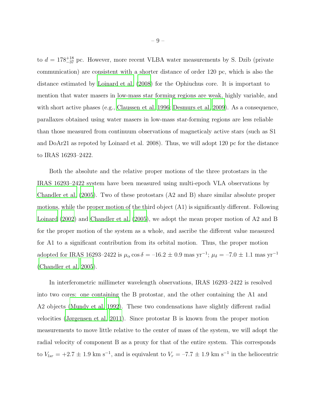to  $d = 178^{+18}_{-37}$  pc. However, more recent VLBA water measurements by S. Dzib (private communication) are consistent with a shorter distance of order 120 pc, which is also the distance estimated by [Loinard et al. \(2008\)](#page-21-0) for the Ophiuchus core. It is important to mention that water masers in low-mass star forming regions are weak, highly variable, and with short active phases (e.g., [Claussen et al. 1996](#page-20-9); [Desmurs et al. 2009\)](#page-20-10). As a consequence, parallaxes obtained using water masers in low-mass star-forming regions are less reliable than those measured from continuum observations of magneticaly active stars (such as S1 and DoAr21 as repoted by Loinard et al. 2008). Thus, we will adopt 120 pc for the distance to IRAS 16293–2422.

Both the absolute and the relative proper motions of the three protostars in the IRAS 16293–2422 system have been measured using multi-epoch VLA observations by [Chandler et al. \(2005\)](#page-20-3). Two of these protostars (A2 and B) share similar absolute proper motions, while the proper motion of the third object (A1) is significantly different. Following [Loinard \(2002\)](#page-22-9) and [Chandler et al. \(2005\)](#page-20-3), we adopt the mean proper motion of A2 and B for the proper motion of the system as a whole, and ascribe the different value measured for A1 to a significant contribution from its orbital motion. Thus, the proper motion adopted for IRAS 16293–2422 is  $\mu_{\alpha}$  cos  $\delta = -16.2 \pm 0.9$  mas yr<sup>-1</sup>;  $\mu_{\delta} = -7.0 \pm 1.1$  mas yr<sup>-1</sup> [\(Chandler et al. 2005\)](#page-20-3).

In interferometric millimeter wavelength observations, IRAS 16293–2422 is resolved into two cores: one containing the B protostar, and the other containing the A1 and A2 objects [\(Mundy et al. 1992\)](#page-22-10). These two condensations have slightly different radial velocities [\(Jørgensen et al. 2011](#page-21-11)). Since protostar B is known from the proper motion measurements to move little relative to the center of mass of the system, we will adopt the radial velocity of component B as a proxy for that of the entire system. This corresponds to  $V_{lsr} = +2.7 \pm 1.9$  km s<sup>-1</sup>, and is equivalent to  $V_r = -7.7 \pm 1.9$  km s<sup>-1</sup> in the heliocentric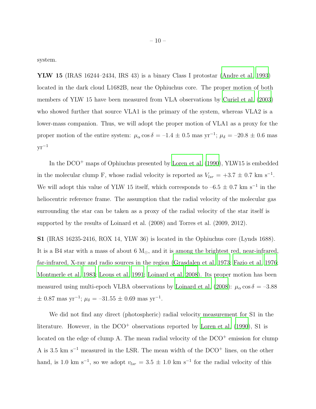system.

YLW 15 (IRAS 16244–2434, IRS 43) is a binary Class I protostar [\(Andre et](#page-20-11) al. [1993\)](#page-20-11) located in the dark cloud L1682B, near the Ophiuchus core. The proper motion of both members of YLW 15 have been measured from VLA observations by [Curiel et al. \(2003](#page-20-12)) who showed further that source VLA1 is the primary of the system, whereas VLA2 is a lower-mass companion. Thus, we will adopt the proper motion of VLA1 as a proxy for the proper motion of the entire system:  $\mu_{\alpha} \cos \delta = -1.4 \pm 0.5$  mas yr<sup>-1</sup>;  $\mu_{\delta} = -20.8 \pm 0.6$  mas  $yr^{-1}$ 

In the DCO<sup>+</sup> maps of Ophiuchus presented by [Loren et al. \(1990](#page-22-11)), YLW15 is embedded in the molecular clump F, whose radial velocity is reported as  $V_{lsr} = +3.7 \pm 0.7$  km s<sup>-1</sup>. We will adopt this value of YLW 15 itself, which corresponds to  $-6.5 \pm 0.7$  km s<sup>-1</sup> in the heliocentric reference frame. The assumption that the radial velocity of the molecular gas surrounding the star can be taken as a proxy of the radial velocity of the star itself is supported by the results of Loinard et al. (2008) and Torres et al. (2009, 2012).

S1 (IRAS 16235-2416, ROX 14, YLW 36) is located in the Ophiuchus core (Lynds 1688). It is a B4 star with a mass of about 6  $M_{\odot}$ , and it is among the brightest red, near-infrared, far-infrared, X-ray and radio sources in the region [\(Grasdalen et](#page-21-12) al. [1973](#page-21-12); [Fazio et al. 1976;](#page-21-13) [Montmerle et al. 1983;](#page-22-12) [Leous et al. 1991;](#page-21-14) [Loinard et al. 2008](#page-21-0)). Its proper motion has been measured using multi-epoch VLBA observations by [Loinard et al. \(2008\)](#page-21-0):  $\mu_{\alpha} \cos \delta = -3.88$  $\pm$  0.87 mas yr<sup>-1</sup>;  $\mu_{\delta} = -31.55 \pm 0.69$  mas yr<sup>-1</sup>.

We did not find any direct (photospheric) radial velocity measurement for S1 in the literature. However, in the  $DCO<sup>+</sup>$  observations reported by [Loren et al. \(1990\)](#page-22-11), S1 is located on the edge of clump A. The mean radial velocity of the DCO<sup>+</sup> emission for clump A is 3.5 km s<sup> $-1$ </sup> measured in the LSR. The mean width of the DCO<sup>+</sup> lines, on the other hand, is 1.0 km s<sup>-1</sup>, so we adopt  $v_{lsr} = 3.5 \pm 1.0$  km s<sup>-1</sup> for the radial velocity of this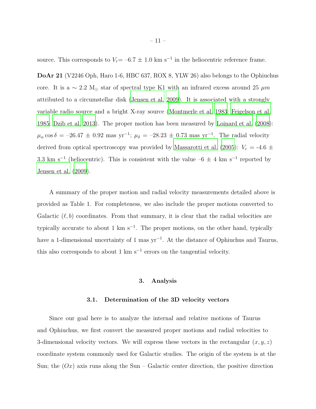source. This corresponds to  $V_r = -6.7 \pm 1.0$  km s<sup>-1</sup> in the heliocentric reference frame.

DoAr 21 (V2246 Oph, Haro 1-6, HBC 637, ROX 8, YLW 26) also belongs to the Ophiuchus core. It is a ~ 2.2 M<sub>☉</sub> star of spectral type K1 with an infrared excess around 25  $\mu$ m attributed to a circumstellar disk [\(Jensen et al. 2009](#page-21-15)). It is associated with a strongly variable radio source and a bright X-ray source [\(Montmerle et al. 1983;](#page-22-12) [Feigelson et al.](#page-21-16) [1985;](#page-21-16) [Dzib et al. 2013\)](#page-21-7). The proper motion has been measured by [Loinard et al. \(2008\)](#page-21-0):  $\mu_{\alpha}\cos\delta = -26.47 \pm 0.92$  mas yr<sup>-1</sup>;  $\mu_{\delta} = -28.23 \pm 0.73$  mas yr<sup>-1</sup>. The radial velocity derived from optical spectroscopy was provided by [Massarotti et al. \(2005](#page-22-13)):  $V_r = -4.6 \pm$ 3.3 km s<sup>-1</sup> (heliocentric). This is consistent with the value  $-6 \pm 4$  km s<sup>-1</sup> reported by [Jensen et al. \(2009\)](#page-21-15).

A summary of the proper motion and radial velocity measurements detailed above is provided as Table 1. For completeness, we also include the proper motions converted to Galactic  $(\ell, b)$  coordinates. From that summary, it is clear that the radial velocities are typically accurate to about 1 km  $s^{-1}$ . The proper motions, on the other hand, typically have a 1-dimensional uncertainty of 1 mas yr<sup>-1</sup>. At the distance of Ophiuchus and Taurus, this also corresponds to about 1  $km s^{-1}$  errors on the tangential velocity.

# 3. Analysis

#### 3.1. Determination of the 3D velocity vectors

Since our goal here is to analyze the internal and relative motions of Taurus and Ophiuchus, we first convert the measured proper motions and radial velocities to 3-dimensional velocity vectors. We will express these vectors in the rectangular  $(x, y, z)$ coordinate system commonly used for Galactic studies. The origin of the system is at the Sun; the  $O(x)$  axis runs along the Sun – Galactic center direction, the positive direction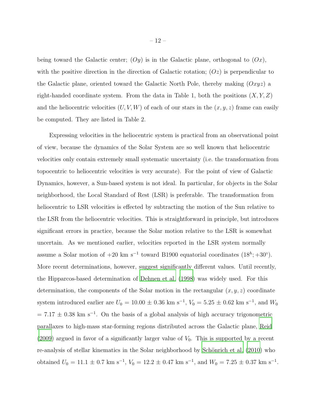being toward the Galactic center;  $(Oy)$  is in the Galactic plane, orthogonal to  $(Ox)$ , with the positive direction in the direction of Galactic rotation;  $(Oz)$  is perpendicular to the Galactic plane, oriented toward the Galactic North Pole, thereby making  $(Oxyz)$  a right-handed coordinate system. From the data in Table 1, both the positions  $(X, Y, Z)$ and the heliocentric velocities  $(U, V, W)$  of each of our stars in the  $(x, y, z)$  frame can easily be computed. They are listed in Table 2.

Expressing velocities in the heliocentric system is practical from an observational point of view, because the dynamics of the Solar System are so well known that heliocentric velocities only contain extremely small systematic uncertainty (i.e. the transformation from topocentric to heliocentric velocities is very accurate). For the point of view of Galactic Dynamics, however, a Sun-based system is not ideal. In particular, for objects in the Solar neighborhood, the Local Standard of Rest (LSR) is preferable. The transformation from heliocentric to LSR velocities is effected by subtracting the motion of the Sun relative to the LSR from the heliocentric velocities. This is straightforward in principle, but introduces significant errors in practice, because the Solar motion relative to the LSR is somewhat uncertain. As we mentioned earlier, velocities reported in the LSR system normally assume a Solar motion of  $+20 \text{ km s}^{-1}$  toward B1900 equatorial coordinates  $(18^h; +30^\circ)$ . More recent determinations, however, suggest significantly different values. Until recently, the Hipparcos-based determination of [Dehnen et al. \(1998\)](#page-20-13) was widely used. For this determination, the components of the Solar motion in the rectangular  $(x, y, z)$  coordinate system introduced earlier are  $U_0 = 10.00 \pm 0.36$  km s<sup>-1</sup>,  $V_0 = 5.25 \pm 0.62$  km s<sup>-1</sup>, and  $W_0$  $= 7.17 \pm 0.38$  km s<sup>-1</sup>. On the basis of a global analysis of high accuracy trigonometric parallaxes to high-mass star-forming regions distributed across the Galactic plane, [Reid](#page-22-14) [\(2009\)](#page-22-14) argued in favor of a significantly larger value of  $V_0$ . This is supported by a recent re-analysis of stellar kinematics in the Solar neighborhood by Schönrich et al. (2010) who obtained  $U_0 = 11.1 \pm 0.7$  km s<sup>-1</sup>,  $V_0 = 12.2 \pm 0.47$  km s<sup>-1</sup>, and  $W_0 = 7.25 \pm 0.37$  km s<sup>-1</sup>.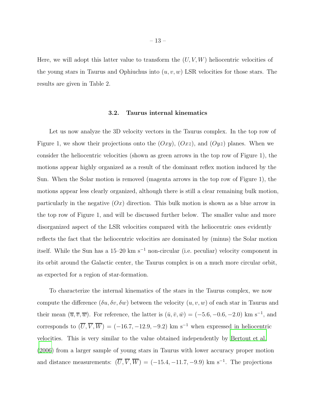Here, we will adopt this latter value to transform the  $(U, V, W)$  heliocentric velocities of the young stars in Taurus and Ophiuchus into  $(u, v, w)$  LSR velocities for those stars. The results are given in Table 2.

#### 3.2. Taurus internal kinematics

Let us now analyze the 3D velocity vectors in the Taurus complex. In the top row of Figure 1, we show their projections onto the  $(Oxy)$ ,  $(Oxz)$ , and  $(Oyz)$  planes. When we consider the heliocentric velocities (shown as green arrows in the top row of Figure 1), the motions appear highly organized as a result of the dominant reflex motion induced by the Sun. When the Solar motion is removed (magenta arrows in the top row of Figure 1), the motions appear less clearly organized, although there is still a clear remaining bulk motion, particularly in the negative  $(Ox)$  direction. This bulk motion is shown as a blue arrow in the top row of Figure 1, and will be discussed further below. The smaller value and more disorganized aspect of the LSR velocities compared with the heliocentric ones evidently reflects the fact that the heliocentric velocities are dominated by (minus) the Solar motion itself. While the Sun has a  $15-20 \text{ km s}^{-1}$  non-circular (i.e. peculiar) velocity component in its orbit around the Galactic center, the Taurus complex is on a much more circular orbit, as expected for a region of star-formation.

To characterize the internal kinematics of the stars in the Taurus complex, we now compute the difference  $(\delta u, \delta v, \delta w)$  between the velocity  $(u, v, w)$  of each star in Taurus and their mean  $(\overline{u}, \overline{v}, \overline{w})$ . For reference, the latter is  $(\overline{u}, \overline{v}, \overline{w}) = (-5.6, -0.6, -2.0)$  km s<sup>-1</sup>, and corresponds to  $(\overline{U}, \overline{V}, \overline{W})$  = (-16.7, -12.9, -9.2) km s<sup>-1</sup> when expressed in heliocentric velocities. This is very similar to the value obtained independently by [Bertout et al.](#page-20-14) [\(2006\)](#page-20-14) from a larger sample of young stars in Taurus with lower accuracy proper motion and distance measurements:  $(\overline{U}, \overline{V}, \overline{W}) = (-15.4, -11.7, -9.9)$  km s<sup>-1</sup>. The projections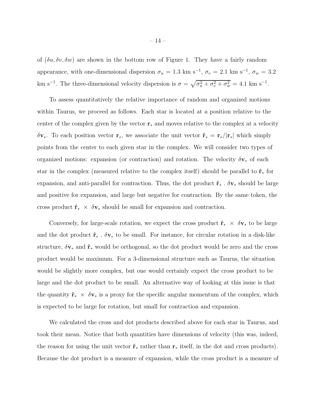of  $(\delta u, \delta v, \delta w)$  are shown in the bottom row of Figure 1. They have a fairly random appearance, with one-dimensional dispersion  $\sigma_u = 1.3 \text{ km s}^{-1}$ ,  $\sigma_v = 2.1 \text{ km s}^{-1}$ ,  $\sigma_w = 3.2$ km s<sup>-1</sup>. The three-dimensional velocity dispersion is  $\sigma = \sqrt{\sigma_u^2 + \sigma_v^2 + \sigma_w^2} = 4.1 \text{ km s}^{-1}$ .

To assess quantitatively the relative importance of random and organized motions within Taurus, we proceed as follows. Each star is located at a position relative to the center of the complex given by the vector  $\mathbf{r}_*$  and moves relative to the complex at a velocity  $\delta v_*$ . To each position vector  $r_*$ , we associate the unit vector  $\hat{r}_* = r_*/|r_*|$  which simply points from the center to each given star in the complex. We will consider two types of organized motions: expansion (or contraction) and rotation. The velocity  $\delta v_*$  of each star in the complex (measured relative to the complex itself) should be parallel to  $\hat{\mathbf{r}}_*$  for expansion, and anti-parallel for contraction. Thus, the dot product  $\hat{\mathbf{r}}_*$  .  $\delta \mathbf{v}_*$  should be large and positive for expansion, and large but negative for contraction. By the same token, the cross product  $\hat{\mathbf{r}}_* \times \delta \mathbf{v}_*$  should be small for expansion and contraction.

Conversely, for large-scale rotation, we expect the cross product  $\hat{\mathbf{r}}_* \times \delta \mathbf{v}_*$  to be large and the dot product  $\hat{\mathbf{r}}_*$ .  $\delta \mathbf{v}_*$  to be small. For instance, for circular rotation in a disk-like structure,  $\delta v_*$  and  $\hat{r}_*$  would be orthogonal, so the dot product would be zero and the cross product would be maximum. For a 3-dimensional structure such as Taurus, the situation would be slightly more complex, but one would certainly expect the cross product to be large and the dot product to be small. An alternative way of looking at this issue is that the quantity  $\hat{\mathbf{r}}_* \times \delta \mathbf{v}_*$  is a proxy for the specific angular momentum of the complex, which is expected to be large for rotation, but small for contraction and expansion.

We calculated the cross and dot products described above for each star in Taurus, and took their mean. Notice that both quantities have dimensions of velocity (this was, indeed, the reason for using the unit vector  $\hat{\mathbf{r}}_*$  rather than  $\mathbf{r}_*$  itself, in the dot and cross products). Because the dot product is a measure of expansion, while the cross product is a measure of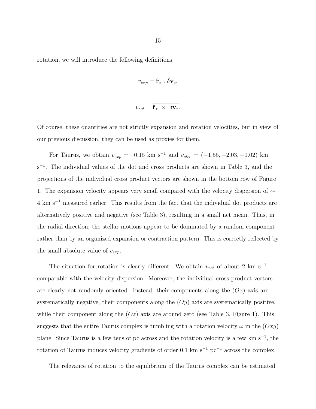rotation, we will introduce the following definitions:

$$
v_{exp} = \mathbf{\hat{r}}_* \cdot \delta \mathbf{v}_*,
$$

$$
v_{rot} = \hat{\mathbf{r}}_* \times \delta \mathbf{v}_*.
$$

Of course, these quantities are not strictly expansion and rotation velocities, but in view of our previous discussion, they can be used as proxies for them.

For Taurus, we obtain  $v_{exp} = -0.15$  km s<sup>-1</sup> and  $v_{circ} = (-1.55, +2.03, -0.02)$  km s<sup>-1</sup>. The individual values of the dot and cross products are shown in Table 3, and the projections of the individual cross product vectors are shown in the bottom row of Figure 1. The expansion velocity appears very small compared with the velocity dispersion of ∼ 4 km s<sup>−</sup><sup>1</sup> measured earlier. This results from the fact that the individual dot products are alternatively positive and negative (see Table 3), resulting in a small net mean. Thus, in the radial direction, the stellar motions appear to be dominated by a random component rather than by an organized expansion or contraction pattern. This is correctly reflected by the small absolute value of  $v_{exp}$ .

The situation for rotation is clearly different. We obtain  $v_{rot}$  of about 2 km s<sup>-1</sup> comparable with the velocity dispersion. Moreover, the individual cross product vectors are clearly not randomly oriented. Instead, their components along the  $(Ox)$  axis are systematically negative, their components along the  $(Oy)$  axis are systematically positive, while their component along the  $(Oz)$  axis are around zero (see Table 3, Figure 1). This suggests that the entire Taurus complex is tumbling with a rotation velocity  $\omega$  in the  $(Oxy)$ plane. Since Taurus is a few tens of pc across and the rotation velocity is a few km s<sup>−</sup><sup>1</sup> , the rotation of Taurus induces velocity gradients of order 0.1 km s<sup>-1</sup> pc<sup>-1</sup> across the complex.

The relevance of rotation to the equilibrium of the Taurus complex can be estimated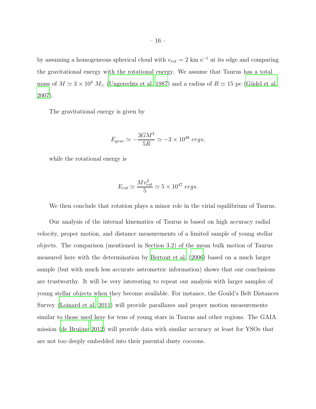by assuming a homogeneous spherical cloud with  $v_{rot} = 2 \text{ km s}^{-1}$  at its edge and comparing the gravitational energy with the rotational energy. We assume that Taurus has a total mass of  $M \simeq 3 \times 10^4$   $M_{\odot}$  [\(Ungerechts et al. 1987\)](#page-23-13) and a radius of  $R \simeq 15$  pc (Güdel et al. [2007\)](#page-21-3).

The gravitational energy is given by

$$
E_{grav} \simeq -\frac{3GM^2}{5R} \simeq -3 \times 10^{48} \ ergs,
$$

while the rotational energy is

$$
E_{rot} \simeq \frac{Mv_{rot}^2}{5} \simeq 5 \times 10^{47} \ ergs.
$$

We then conclude that rotation plays a minor role in the virial equilibrium of Taurus.

Our analysis of the internal kinematics of Taurus is based on high accuracy radial velocity, proper motion, and distance measurements of a limited sample of young stellar objects. The comparison (mentioned in Section 3.2) of the mean bulk motion of Taurus measured here with the determination by [Bertout et al. \(2006\)](#page-20-14) based on a much larger sample (but with much less accurate astrometric information) shows that our conclusions are trustworthy. It will be very interesting to repeat our analysis with larger samples of young stellar objects when they become available. For instance, the Gould's Belt Distances Survey [\(Loinard et al. 2011](#page-21-17)) will provide parallaxes and proper motion measurements similar to those used here for tens of young stars in Taurus and other regions. The GAIA mission [\(de Bruijne 2012\)](#page-20-15) will provide data with similar accuracy at least for YSOs that are not too deeply embedded into their parental dusty cocoons.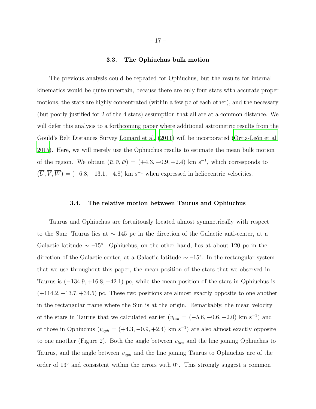#### 3.3. The Ophiuchus bulk motion

The previous analysis could be repeated for Ophiuchus, but the results for internal kinematics would be quite uncertain, because there are only four stars with accurate proper motions, the stars are highly concentrated (within a few pc of each other), and the necessary (but poorly justified for 2 of the 4 stars) assumption that all are at a common distance. We will defer this analysis to a forthcoming paper where additional astrometric results from the Gould's Belt Distances Survey [Loinard et al. \(2011\)](#page-21-17) will be incorporated (Ortiz-León et al. [2015\)](#page-22-15). Here, we will merely use the Ophiuchus results to estimate the mean bulk motion of the region. We obtain  $(\bar{u}, \bar{v}, \bar{w}) = (+4.3, -0.9, +2.4)$  km s<sup>-1</sup>, which corresponds to  $(\overline{U}, \overline{V}, \overline{W}) = (-6.8, -13.1, -4.8)$  km s<sup>-1</sup> when expressed in heliocentric velocities.

## 3.4. The relative motion between Taurus and Ophiuchus

Taurus and Ophiuchus are fortuitously located almost symmetrically with respect to the Sun: Taurus lies at ∼ 145 pc in the direction of the Galactic anti-center, at a Galactic latitude  $\sim -15^{\circ}$ . Ophiuchus, on the other hand, lies at about 120 pc in the direction of the Galactic center, at a Galactic latitude  $\sim -15^{\circ}$ . In the rectangular system that we use throughout this paper, the mean position of the stars that we observed in Taurus is  $(-134.9, +16.8, -42.1)$  pc, while the mean position of the stars in Ophiuchus is  $(+114.2, -13.7, +34.5)$  pc. These two positions are almost exactly opposite to one another in the rectangular frame where the Sun is at the origin. Remarkably, the mean velocity of the stars in Taurus that we calculated earlier  $(v_{tau} = (-5.6, -0.6, -2.0)$  km s<sup>-1</sup>) and of those in Ophiuchus ( $v_{oph} = (+4.3, -0.9, +2.4)$  km s<sup>-1</sup>) are also almost exactly opposite to one another (Figure 2). Both the angle between  $v_{tau}$  and the line joining Ophiuchus to Taurus, and the angle between  $v_{oph}$  and the line joining Taurus to Ophiuchus are of the order of 13° and consistent within the errors with 0°. This strongly suggest a common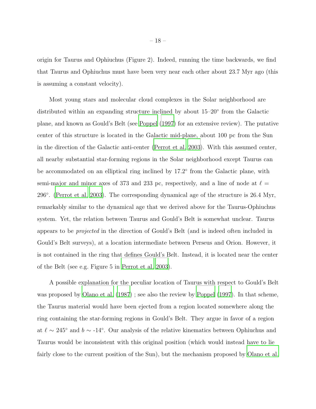origin for Taurus and Ophiuchus (Figure 2). Indeed, running the time backwards, we find that Taurus and Ophiuchus must have been very near each other about 23.7 Myr ago (this is assuming a constant velocity).

Most young stars and molecular cloud complexes in the Solar neighborhood are distributed within an expanding structure inclined by about 15–20◦ from the Galactic plane, and known as Gould's Belt (see [Poppel \(1997\)](#page-22-16) for an extensive review). The putative center of this structure is located in the Galactic mid-plane, about 100 pc from the Sun in the direction of the Galactic anti-center [\(Perrot et al. 2003](#page-22-17)). With this assumed center, all nearby substantial star-forming regions in the Solar neighborhood except Taurus can be accommodated on an elliptical ring inclined by 17.2° from the Galactic plane, with semi-major and minor axes of 373 and 233 pc, respectively, and a line of node at  $\ell =$ 296◦ . [\(Perrot et al. 2003\)](#page-22-17). The corresponding dynamical age of the structure is 26.4 Myr, remarkably similar to the dynamical age that we derived above for the Taurus-Ophiuchus system. Yet, the relation between Taurus and Gould's Belt is somewhat unclear. Taurus appears to be projected in the direction of Gould's Belt (and is indeed often included in Gould's Belt surveys), at a location intermediate between Perseus and Orion. However, it is not contained in the ring that defines Gould's Belt. Instead, it is located near the center of the Belt (see e.g. Figure 5 in [Perrot et al. 2003\)](#page-22-17).

A possible explanation for the peculiar location of Taurus with respect to Gould's Belt was proposed by [Olano et al. \(1987\)](#page-22-18) ; see also the review by [Poppel \(1997](#page-22-16)). In that scheme, the Taurus material would have been ejected from a region located somewhere along the ring containing the star-forming regions in Gould's Belt. They argue in favor of a region at  $\ell \sim 245^{\circ}$  and  $b \sim -14^{\circ}$ . Our analysis of the relative kinematics between Ophiuchus and Taurus would be inconsistent with this original position (which would instead have to lie fairly close to the current position of the Sun), but the mechanism proposed by [Olano et al.](#page-22-18)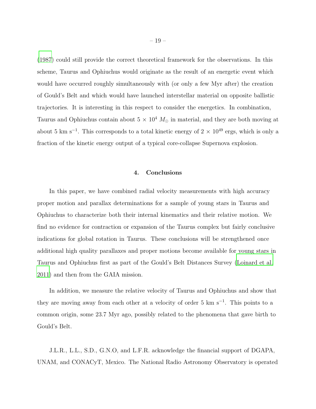[\(1987\)](#page-22-18) could still provide the correct theoretical framework for the observations. In this scheme, Taurus and Ophiuchus would originate as the result of an energetic event which would have occurred roughly simultaneously with (or only a few Myr after) the creation of Gould's Belt and which would have launched interstellar material on opposite ballistic trajectories. It is interesting in this respect to consider the energetics. In combination, Taurus and Ophiuchus contain about  $5 \times 10^4$  M<sub>☉</sub> in material, and they are both moving at about 5 km s<sup>-1</sup>. This corresponds to a total kinetic energy of  $2 \times 10^{49}$  ergs, which is only a fraction of the kinetic energy output of a typical core-collapse Supernova explosion.

## 4. Conclusions

In this paper, we have combined radial velocity measurements with high accuracy proper motion and parallax determinations for a sample of young stars in Taurus and Ophiuchus to characterize both their internal kinematics and their relative motion. We find no evidence for contraction or expansion of the Taurus complex but fairly conclusive indications for global rotation in Taurus. These conclusions will be strengthened once additional high quality parallaxes and proper motions become available for young stars in Taurus and Ophiuchus first as part of the Gould's Belt Distances Survey [\(Loinard et al.](#page-21-17) [2011\)](#page-21-17) and then from the GAIA mission.

In addition, we measure the relative velocity of Taurus and Ophiuchus and show that they are moving away from each other at a velocity of order 5 km s<sup>−</sup><sup>1</sup> . This points to a common origin, some 23.7 Myr ago, possibly related to the phenomena that gave birth to Gould's Belt.

J.L.R., L.L., S.D., G.N.O, and L.F.R. acknowledge the financial support of DGAPA, UNAM, and CONACyT, Mexico. The National Radio Astronomy Observatory is operated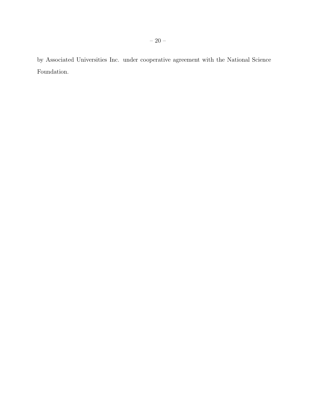by Associated Universities Inc. under cooperative agreement with the National Science Foundation.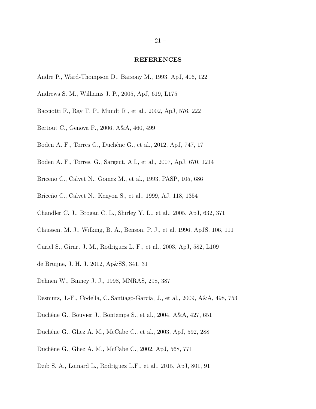#### REFERENCES

- <span id="page-20-11"></span>Andre P., Ward-Thompson D., Barsony M., 1993, ApJ, 406, 122
- <span id="page-20-1"></span>Andrews S. M., Williams J. P., 2005, ApJ, 619, L175
- <span id="page-20-8"></span>Bacciotti F., Ray T. P., Mundt R., et al., 2002, ApJ, 576, 222
- <span id="page-20-14"></span>Bertout C., Genova F., 2006, A&A, 460, 499
- <span id="page-20-6"></span>Boden A. F., Torres G., Duchêne G., et al., 2012, ApJ, 747, 17
- <span id="page-20-4"></span>Boden A. F., Torres, G., Sargent, A.I., et al., 2007, ApJ, 670, 1214
- Briceño C., Calvet N., Gomez M., et al., 1993, PASP, 105, 686
- Briceño C., Calvet N., Kenyon S., et al., 1999, AJ, 118, 1354
- <span id="page-20-3"></span>Chandler C. J., Brogan C. L., Shirley Y. L., et al., 2005, ApJ, 632, 371
- <span id="page-20-9"></span>Claussen, M. J., Wilking, B. A., Benson, P. J., et al. 1996, ApJS, 106, 111
- <span id="page-20-12"></span>Curiel S., Girart J. M., Rodríguez L. F., et al., 2003, ApJ, 582, L109
- <span id="page-20-15"></span>de Bruijne, J. H. J. 2012, Ap&SS, 341, 31
- <span id="page-20-13"></span>Dehnen W., Binney J. J., 1998, MNRAS, 298, 387
- <span id="page-20-10"></span>Desmurs, J.-F., Codella, C.,Santiago-García, J., et al., 2009, A&A, 498, 753
- <span id="page-20-0"></span>Duchêne G., Bouvier J., Bontemps S., et al., 2004, A&A, 427, 651
- <span id="page-20-5"></span>Duchêne G., Ghez A. M., McCabe C., et al., 2003, ApJ, 592, 288
- <span id="page-20-7"></span>Duchêne G., Ghez A. M., McCabe C., 2002, ApJ, 568, 771
- <span id="page-20-2"></span>Dzib S. A., Loinard L., Rodríguez L.F., et al., 2015, ApJ, 801, 91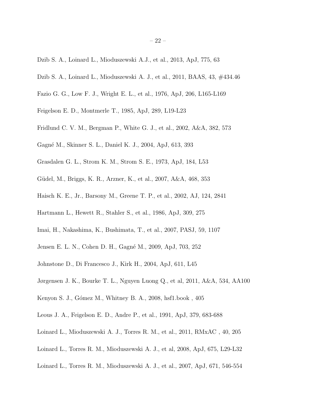- <span id="page-21-7"></span>Dzib S. A., Loinard L., Mioduszewski A.J., et al., 2013, ApJ, 775, 63
- Dzib S. A., Loinard L., Mioduszewski A. J., et al., 2011, BAAS, 43, #434.46
- <span id="page-21-13"></span>Fazio G. G., Low F. J., Wright E. L., et al., 1976, ApJ, 206, L165-L169
- <span id="page-21-16"></span>Feigelson E. D., Montmerle T., 1985, ApJ, 289, L19-L23
- <span id="page-21-9"></span>Fridlund C. V. M., Bergman P., White G. J., et al., 2002, A&A, 382, 573
- <span id="page-21-4"></span>Gagn´e M., Skinner S. L., Daniel K. J., 2004, ApJ, 613, 393
- <span id="page-21-12"></span>Grasdalen G. L., Strom K. M., Strom S. E., 1973, ApJ, 184, L53
- <span id="page-21-3"></span>Güdel, M., Briggs, K. R., Arzner, K., et al., 2007, A&A, 468, 353
- <span id="page-21-5"></span>Haisch K. E., Jr., Barsony M., Greene T. P., et al., 2002, AJ, 124, 2841
- <span id="page-21-8"></span>Hartmann L., Hewett R., Stahler S., et al., 1986, ApJ, 309, 275
- <span id="page-21-10"></span>Imai, H., Nakashima, K., Bushimata, T., et al., 2007, PASJ, 59, 1107
- <span id="page-21-15"></span>Jensen E. L. N., Cohen D. H., Gagné M., 2009, ApJ, 703, 252
- <span id="page-21-6"></span>Johnstone D., Di Francesco J., Kirk H., 2004, ApJ, 611, L45
- <span id="page-21-11"></span>Jørgensen J. K., Bourke T. L., Nguyen Luong Q., et al, 2011, A&A, 534, AA100
- <span id="page-21-2"></span>Kenyon S. J., Gómez M., Whitney B. A., 2008, hsf1.book, 405
- <span id="page-21-14"></span>Leous J. A., Feigelson E. D., Andre P., et al., 1991, ApJ, 379, 683-688
- <span id="page-21-17"></span>Loinard L., Mioduszewski A. J., Torres R. M., et al., 2011, RMxAC , 40, 205
- <span id="page-21-0"></span>Loinard L., Torres R. M., Mioduszewski A. J., et al, 2008, ApJ, 675, L29-L32
- <span id="page-21-1"></span>Loinard L., Torres R. M., Mioduszewski A. J., et al., 2007, ApJ, 671, 546-554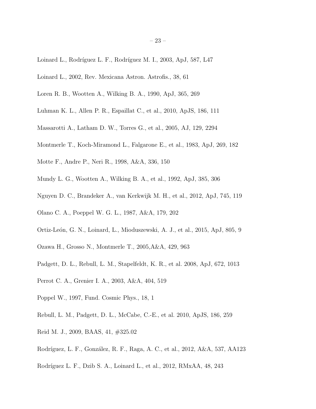- <span id="page-22-4"></span>Loinard L., Rodríguez L. F., Rodríguez M. I., 2003, ApJ, 587, L47
- <span id="page-22-9"></span>Loinard L., 2002, Rev. Mexicana Astron. Astrofis., 38, 61
- <span id="page-22-11"></span>Loren R. B., Wootten A., Wilking B. A., 1990, ApJ, 365, 269
- <span id="page-22-7"></span>Luhman K. L., Allen P. R., Espaillat C., et al., 2010, ApJS, 186, 111
- <span id="page-22-13"></span>Massarotti A., Latham D. W., Torres G., et al., 2005, AJ, 129, 2294
- <span id="page-22-12"></span>Montmerle T., Koch-Miramond L., Falgarone E., et al., 1983, ApJ, 269, 182
- <span id="page-22-1"></span>Motte F., Andre P., Neri R., 1998, A&A, 336, 150
- <span id="page-22-10"></span>Mundy L. G., Wootten A., Wilking B. A., et al., 1992, ApJ, 385, 306
- <span id="page-22-5"></span>Nguyen D. C., Brandeker A., van Kerkwijk M. H., et al., 2012, ApJ, 745, 119
- <span id="page-22-18"></span>Olano C. A., Poeppel W. G. L., 1987, A&A, 179, 202
- <span id="page-22-15"></span>Ortiz-León, G. N., Loinard, L., Mioduszewski, A. J., et al., 2015, ApJ, 805, 9
- <span id="page-22-0"></span>Ozawa H., Grosso N., Montmerle T., 2005,A&A, 429, 963
- <span id="page-22-3"></span>Padgett, D. L., Rebull, L. M., Stapelfeldt, K. R., et al. 2008, ApJ, 672, 1013
- <span id="page-22-17"></span>Perrot C. A., Grenier I. A., 2003, A&A, 404, 519
- <span id="page-22-16"></span>Poppel W., 1997, Fund. Cosmic Phys., 18, 1
- <span id="page-22-2"></span>Rebull, L. M., Padgett, D. L., McCabe, C.-E., et al. 2010, ApJS, 186, 259
- <span id="page-22-14"></span>Reid M. J., 2009, BAAS, 41, #325.02
- <span id="page-22-6"></span>Rodríguez, L. F., González, R. F., Raga, A. C., et al., 2012, A&A, 537, AA123
- <span id="page-22-8"></span>Rodríguez L. F., Dzib S. A., Loinard L., et al., 2012, RMxAA, 48, 243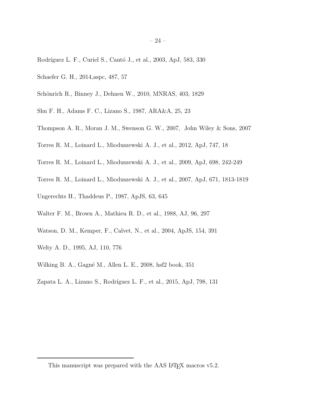- <span id="page-23-9"></span>Rodríguez L. F., Curiel S., Cantó J., et al., 2003, ApJ, 583, 330
- <span id="page-23-8"></span>Schaefer G. H., 2014,aspc, 487, 57
- <span id="page-23-12"></span>Schönrich R., Binney J., Dehnen W., 2010, MNRAS, 403, 1829
- <span id="page-23-4"></span>Shu F. H., Adams F. C., Lizano S., 1987, ARA&A, 25, 23
- <span id="page-23-5"></span>Thompson A. R., Moran J. M., Swenson G. W., 2007, John Wiley & Sons, 2007
- <span id="page-23-2"></span>Torres R. M., Loinard L., Mioduszewski A. J., et al., 2012, ApJ, 747, 18
- <span id="page-23-1"></span>Torres R. M., Loinard L., Mioduszewski A. J., et al., 2009, ApJ, 698, 242-249
- <span id="page-23-0"></span>Torres R. M., Loinard L., Mioduszewski A. J., et al., 2007, ApJ, 671, 1813-1819
- <span id="page-23-13"></span>Ungerechts H., Thaddeus P., 1987, ApJS, 63, 645
- <span id="page-23-6"></span>Walter F. M., Brown A., Mathieu R. D., et al., 1988, AJ, 96, 297
- <span id="page-23-10"></span>Watson, D. M., Kemper, F., Calvet, N., et al., 2004, ApJS, 154, 391
- <span id="page-23-7"></span>Welty A. D., 1995, AJ, 110, 776
- <span id="page-23-3"></span>Wilking B. A., Gagné M., Allen L. E., 2008, hsf2 book, 351
- <span id="page-23-11"></span>Zapata L. A., Lizano S., Rodríguez L. F., et al., 2015, ApJ, 798, 131

<sup>– 24 –</sup>

This manuscript was prepared with the AAS LAT<sub>E</sub>X macros v5.2.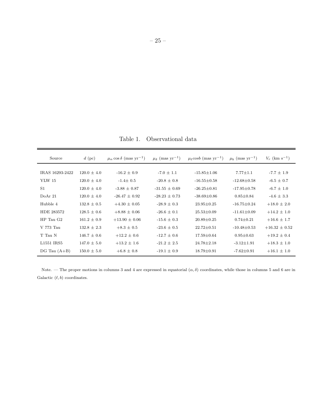Table 1. Observational data

| Source             | $d$ (pc)        | $\mu_{\alpha}$ cos $\delta$ (mas yr <sup>-1</sup> ) | $\mu_{\delta}$ (mas yr <sup>-1</sup> ) | $\mu_{\ell} \cosh \left( \max \mathrm{yr}^{-1} \right)$ | $\mu_b$ (mas yr <sup>-1</sup> ) | $V_r$ (km s <sup>-1</sup> ) |
|--------------------|-----------------|-----------------------------------------------------|----------------------------------------|---------------------------------------------------------|---------------------------------|-----------------------------|
|                    |                 |                                                     |                                        |                                                         |                                 |                             |
| IRAS 16293-2422    | $120.0 \pm 4.0$ | $-16.2 \pm 0.9$                                     | $-7.0 \pm 1.1$                         | $-15.85 \pm 1.06$                                       | $7.77{\pm}1.1$                  | $-7.7 \pm 1.9$              |
| <b>YLW 15</b>      | $120.0 \pm 4.0$ | $-1.4 \pm 0.5$                                      | $-20.8 \pm 0.8$                        | $-16.55 \pm 0.58$                                       | $-12.68 \pm 0.58$               | $-6.5 \pm 0.7$              |
| S <sub>1</sub>     | $120.0 \pm 4.0$ | $-3.88 \pm 0.87$                                    | $-31.55 \pm 0.69$                      | $-26.25 \pm 0.81$                                       | $-17.95 \pm 0.78$               | $-6.7 \pm 1.0$              |
| DoAr <sub>21</sub> | $120.0 \pm 4.0$ | $-26.47 \pm 0.92$                                   | $-28.23 \pm 0.73$                      | $-38.69 \pm 0.86$                                       | $0.85 \pm 0.84$                 | $-4.6 \pm 3.3$              |
| Hubble 4           | $132.8 \pm 0.5$ | $+4.30 \pm 0.05$                                    | $-28.9 \pm 0.3$                        | $23.95 \pm 0.25$                                        | $-16.75 + 0.24$                 | $+18.0 \pm 2.0$             |
| HDE 283572         | $128.5 \pm 0.6$ | $+8.88 \pm 0.06$                                    | $-26.6 \pm 0.1$                        | $25.53 \pm 0.09$                                        | $-11.61 \pm 0.09$               | $+14.2 \pm 1.0$             |
| $HP$ Tau $G2$      | $161.2 \pm 0.9$ | $+13.90 \pm 0.06$                                   | $-15.6 \pm 0.3$                        | $20.89 \pm 0.25$                                        | $0.74 \pm 0.21$                 | $+16.6 \pm 1.7$             |
| V 773 Tau          | $132.8 \pm 2.3$ | $+8.3 \pm 0.5$                                      | $-23.6 \pm 0.5$                        | $22.72 \pm 0.51$                                        | $-10.48 \pm 0.53$               | $+16.32 \pm 0.52$           |
| T Tau N            | $146.7 \pm 0.6$ | $+12.2 \pm 0.6$                                     | $-12.7 \pm 0.6$                        | $17.59 \pm 0.64$                                        | $0.95 \pm 0.63$                 | $+19.2 \pm 0.4$             |
| L1551 IRS5         | $147.0 \pm 5.0$ | $+13.2 \pm 1.6$                                     | $-21.2 \pm 2.5$                        | $24.78 \pm 2.18$                                        | $-3.12 \pm 1.91$                | $+18.3 \pm 1.0$             |
| DG Tau $(A+B)$     | $150.0 \pm 5.0$ | $+6.8 \pm 0.8$                                      | $-19.1 \pm 0.9$                        | $18.79 \pm 0.91$                                        | $-7.62 \pm 0.91$                | $+16.1 \pm 1.0$             |

Note. — The proper motions in columns 3 and 4 are expressed in equatorial  $(\alpha, \delta)$  coordinates, while those in columns 5 and 6 are in Galactic  $(\ell, b)$  coordinates.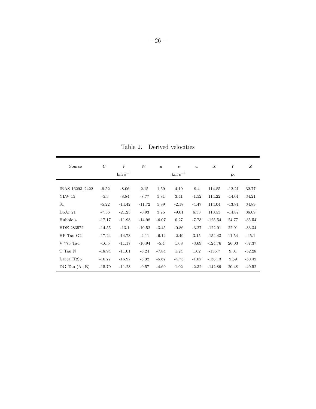Table 2. Derived velocities

| Source          | U        | V<br>$km s^{-1}$ | W        | $\boldsymbol{u}$ | $\boldsymbol{v}$<br>$km s^{-1}$ | w       | $\boldsymbol{X}$ | Y<br>pc  | Ζ        |
|-----------------|----------|------------------|----------|------------------|---------------------------------|---------|------------------|----------|----------|
|                 |          |                  |          |                  |                                 |         |                  |          |          |
| IRAS 16293-2422 | $-9.52$  | $-8.06$          | 2.15     | 1.59             | 4.19                            | 9.4     | 114.85           | $-12.21$ | 32.77    |
| <b>YLW 15</b>   | $-5.3$   | $-8.84$          | $-8.77$  | 5.81             | 3.41                            | $-1.52$ | 114.22           | $-14.01$ | 34.21    |
| S1              | $-5.22$  | $-14.42$         | $-11.72$ | 5.89             | $-2.18$                         | $-4.47$ | 114.04           | $-13.81$ | 34.89    |
| DoAr 21         | $-7.36$  | $-21.25$         | $-0.93$  | 3.75             | $-9.01$                         | 6.33    | 113.53           | $-14.87$ | 36.09    |
| Hubble 4        | $-17.17$ | $-11.98$         | $-14.98$ | $-6.07$          | 0.27                            | $-7.73$ | $-125.54$        | 24.77    | $-35.54$ |
| HDE 283572      | $-14.55$ | $-13.1$          | $-10.52$ | $-3.45$          | $-0.86$                         | $-3.27$ | $-122.01$        | 22.91    | $-33.34$ |
| $HP$ Tau $G2$   | $-17.24$ | $-14.73$         | $-4.11$  | $-6.14$          | $-2.49$                         | 3.15    | $-154.43$        | 11.54    | $-45.1$  |
| V 773 Tau       | $-16.5$  | $-11.17$         | $-10.94$ | $-5.4$           | 1.08                            | $-3.69$ | $-124.76$        | 26.03    | $-37.37$ |
| T Tau N         | $-18.94$ | $-11.01$         | $-6.24$  | $-7.84$          | 1.24                            | 1.02    | $-136.7$         | 9.01     | $-52.28$ |
| L1551 IRS5      | $-16.77$ | $-16.97$         | $-8.32$  | $-5.67$          | $-4.73$                         | $-1.07$ | $-138.13$        | 2.59     | $-50.42$ |
| DG Tau $(A+B)$  | $-15.79$ | $-11.23$         | $-9.57$  | $-4.69$          | 1.02                            | $-2.32$ | $-142.89$        | 20.48    | $-40.52$ |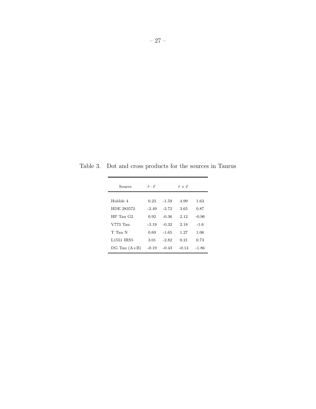Table 3. Dot and cross products for the sources in Taurus

| Source           | $\hat{r} \cdot \vec{v}$ |         | $\hat{r} \times \vec{v}$ |         |  |
|------------------|-------------------------|---------|--------------------------|---------|--|
| Hubble 4         | 0.23                    | $-1.59$ | 4.99                     | 1.63    |  |
| HDE 283572       | $-2.49$                 | $-3.72$ | 3.65                     | 0.87    |  |
| $HP$ Tau $G2$    | 0.92                    | $-0.36$ | 2.12                     | $-0.96$ |  |
| V773 Tau         | $-3.19$                 | $-0.32$ | 2.18                     | $-1.6$  |  |
| T Tau N          | 0.69                    | $-1.65$ | 1.27                     | 1.06    |  |
| L1551 IRS5       | 3.01                    | $-2.82$ | 0.21                     | 0.73    |  |
| $DG$ Tau $(A+B)$ | $-0.19$                 | $-0.43$ | $-0.14$                  | $-1.86$ |  |
|                  |                         |         |                          |         |  |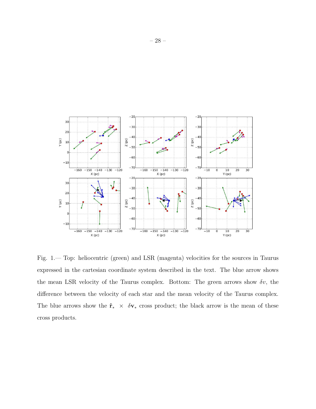

Fig. 1.— Top: heliocentric (green) and LSR (magenta) velocities for the sources in Taurus expressed in the cartesian coordinate system described in the text. The blue arrow shows the mean LSR velocity of the Taurus complex. Bottom: The green arrows show  $\delta v$ , the difference between the velocity of each star and the mean velocity of the Taurus complex. The blue arrows show the  $\hat{\mathbf{r}}_* \times \delta \mathbf{v}_*$  cross product; the black arrow is the mean of these cross products.